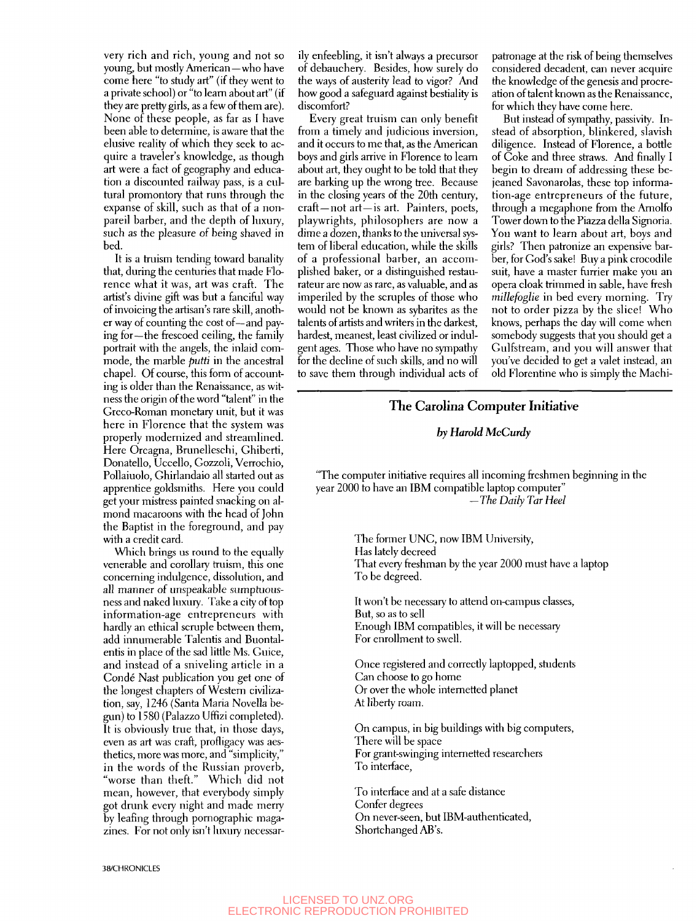very rich and rich, young and not so young, but mostly American—who have come here "to study art" (if they went to a private school) or "to leam about art" (if they are pretty girls, as a few of them are). None of these people, as far as I have been able to determine, is aware that the elusive reality of which they seek to acquire a traveler's knowledge, as though art were a fact of geography and education a discounted railway pass, is a cultural promontory that runs through the expanse of skill, such as that of a nonpareil barber, and the depth of luxury, such as the pleasure of being shaved in bed.

It is a truism tending toward banality that, during the centuries that made Florence what it was, art was craft. The artist's divine gift was but a fanciful way of invoicing the artisan's rare skill, another way of counting the cost of—and paying for—the frescoed ceiling, the family portrait with the angels, the inlaid commode, the marble *putti* in the ancestral chapel. Of course, this form of accounting is older than the Renaissance, as witness the origin of the word "talent" in the Greco-Roman monetary unit, but it was here in Florence that the system was properly modernized and streamlined. Here Orcagna, Brunelleschi, Ghiberti, Donatello, Uccello, Gozzoli, Verrochio, Pollaiuolo, Ghirlandaio all started out as apprentice goldsmiths. Here you could get your mistress painted snacking on almond macaroons with the head of John the Baptist in the foreground, and pay with a credit card.

Which brings us round to the equally venerable and corollary truism, this one concerning indulgence, dissolution, and all manner of unspeakable sumptuousness and naked luxury. Take a city of top information-age entrepreneurs with hardly an ethical scruple between them, add innumerable Talentis and Buontalentis in place of the sad little Ms. Guice, and instead of a sniveling article in a Conde Nast publication you get one of the longest chapters of Western civilization, say, 1246 (Santa Maria Novella begun) to 1580 (Palazzo Uffizi completed). It is obviously true that, in those days, even as art was craft, profligacy was aesthetics, more was more, and "simplicity," in the words of the Russian proverb, "worse than theft." Which did not mean, however, that everybody simply got drunk every night and made merry by leafing through pornographic magazines. For not only isn't luxury necessarily enfeebling, it isn't always a precursor of debauchery. Besides, how surely do the ways of austerity lead to vigor? And how good a safeguard against bestiality is discomfort?

Every great truism can only benefit from a timely and judicious inversion, and it occurs to me that, as the American boys and girls arrive in Florence to leam about art, they ought to be told that they are barking up the wrong tree. Because in the closing years of the 20th century, craft—not art—is art. Painters, poets, playwrights, philosophers are now a dime a dozen, thanks to the universal system of liberal education, while the skills of a professional barber, an accomplished baker, or a distinguished restaurateur are now as rare, as valuable, and as imperiled by the scruples of those who would not be known as sybarites as the talents of artists and writers in the darkest, hardest, meanest, least civilized or indulgent ages. Those who have no sympathy for the decline of such skills, and no will to save them through individual acts of

patronage at the risk of being themselves considered decadent, can never acquire the knowledge of the genesis and procreation of talent known as the Renaissance, for which they have come here.

But instead of sympathy, passivity. Instead of absorption, blinkered, slavish diligence. Instead of Florence, a bottie of Goke and three stiaws. And finally I begin to dream of addressing these bejeaned Savonarolas, these top information-age entrepreneurs of the future, through a megaphone from the Amolfo Tower down to the Piazza della Signoria. You want to learn about art, boys and girls? Then pationize an expensive barber, for God's sake! Buy a pink crocodile suit, have a master furrier make you an opera cloak trimmed in sable, have fresh *millefoglie* in bed every morning. Try not to order pizza by the slice! Who knows, perhaps the day will come when somebody suggests that you should get a Gulfstream, and you will answer that you've decided to get a valet instead, an old Florentine who is simply the Machi-

## The Carolina Computer Initiative

## *by Harold McCurdy*

"The computer initiative requires all incoming freshmen beginning in the year 2000 to have an IBM compatible laptop computer" *—The Daily Tar Heel* 

> The former UNC, now IBM University, Has lately decreed That every freshman by the year 2000 must have a laptop To be degreed.

It won't be necessary to attend on-campus classes. But, so as to sell Enough IBM compatibles, it will be necessary For enrollment to swell.

Once registered and correctiy laptopped, students Can choose to go home Or over the whole intemetted planet At liberty roam.

On campus, in big buildings with big computers. There will be space For grant-swinging intemetted researchers To interface,

To interface and at a safe distance Confer degrees On never-seen, but IBM-authenticated, Shortchanged AB's.

38/CHRONICLES